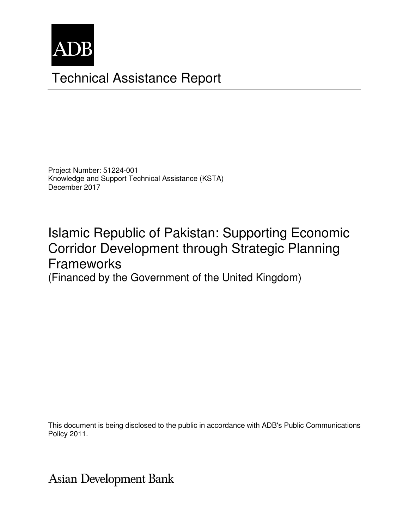

## Technical Assistance Report

Project Number: 51224-001 Knowledge and Support Technical Assistance (KSTA) December 2017

# Islamic Republic of Pakistan: Supporting Economic Corridor Development through Strategic Planning Frameworks

(Financed by the Government of the United Kingdom)

This document is being disclosed to the public in accordance with ADB's Public Communications Policy 2011.

Asian Development Bank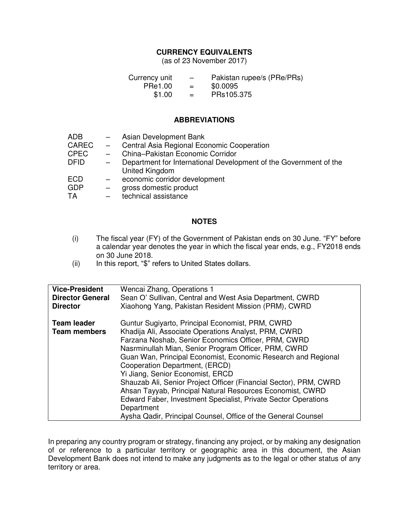## **CURRENCY EQUIVALENTS**

(as of 23 November 2017)

| Currency unit | $\overline{\phantom{m}}$ | Pakistan rupee/s (PRe/PRs) |
|---------------|--------------------------|----------------------------|
| PRe1.00       | $=$                      | \$0.0095                   |
| \$1.00        | $=$                      | PRs105.375                 |

#### **ABBREVIATIONS**

| Department for International Development of the Government of the |
|-------------------------------------------------------------------|
|                                                                   |
|                                                                   |
|                                                                   |
|                                                                   |
|                                                                   |

#### **NOTES**

- (i) The fiscal year (FY) of the Government of Pakistan ends on 30 June. "FY" before a calendar year denotes the year in which the fiscal year ends, e.g., FY2018 ends on 30 June 2018.
- (ii) In this report, "\$" refers to United States dollars.

| <b>Vice-President</b>                     | Wencai Zhang, Operations 1                                                                                                                                                                                                                                                                                                                                                                                                                                                                                                                                                                                                                        |
|-------------------------------------------|---------------------------------------------------------------------------------------------------------------------------------------------------------------------------------------------------------------------------------------------------------------------------------------------------------------------------------------------------------------------------------------------------------------------------------------------------------------------------------------------------------------------------------------------------------------------------------------------------------------------------------------------------|
| <b>Director General</b>                   | Sean O' Sullivan, Central and West Asia Department, CWRD                                                                                                                                                                                                                                                                                                                                                                                                                                                                                                                                                                                          |
| <b>Director</b>                           | Xiaohong Yang, Pakistan Resident Mission (PRM), CWRD                                                                                                                                                                                                                                                                                                                                                                                                                                                                                                                                                                                              |
| <b>Team leader</b><br><b>Team members</b> | Guntur Sugiyarto, Principal Economist, PRM, CWRD<br>Khadija Ali, Associate Operations Analyst, PRM, CWRD<br>Farzana Noshab, Senior Economics Officer, PRM, CWRD<br>Nasrminullah Mian, Senior Program Officer, PRM, CWRD<br>Guan Wan, Principal Economist, Economic Research and Regional<br>Cooperation Department, (ERCD)<br>Yi Jiang, Senior Economist, ERCD<br>Shauzab Ali, Senior Project Officer (Financial Sector), PRM, CWRD<br>Ahsan Tayyab, Principal Natural Resources Economist, CWRD<br>Edward Faber, Investment Specialist, Private Sector Operations<br>Department<br>Aysha Qadir, Principal Counsel, Office of the General Counsel |

In preparing any country program or strategy, financing any project, or by making any designation of or reference to a particular territory or geographic area in this document, the Asian Development Bank does not intend to make any judgments as to the legal or other status of any territory or area.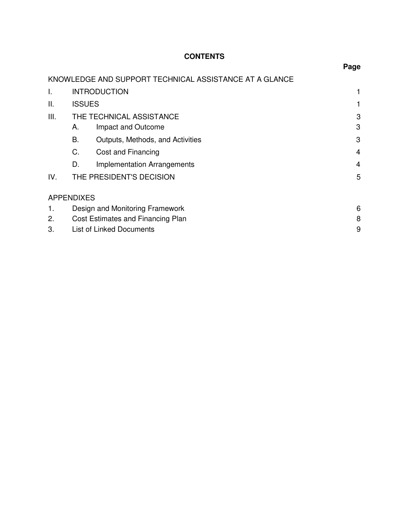## **CONTENTS**

|      |                                   |                                                        | Page |  |
|------|-----------------------------------|--------------------------------------------------------|------|--|
|      |                                   | KNOWLEDGE AND SUPPORT TECHNICAL ASSISTANCE AT A GLANCE |      |  |
| I.   |                                   | <b>INTRODUCTION</b>                                    |      |  |
| Ш.   | <b>ISSUES</b>                     |                                                        |      |  |
| III. |                                   | THE TECHNICAL ASSISTANCE                               |      |  |
|      | А.                                | Impact and Outcome                                     | 3    |  |
|      | B.                                | Outputs, Methods, and Activities                       | 3    |  |
|      | C.                                | Cost and Financing                                     | 4    |  |
|      | D.                                | <b>Implementation Arrangements</b>                     | 4    |  |
| IV.  | THE PRESIDENT'S DECISION          |                                                        | 5    |  |
|      | <b>APPENDIXES</b>                 |                                                        |      |  |
| 1.   | Design and Monitoring Framework   |                                                        | 6    |  |
| 2.   | Cost Estimates and Financing Plan |                                                        | 8    |  |
| 3.   |                                   | <b>List of Linked Documents</b>                        | 9    |  |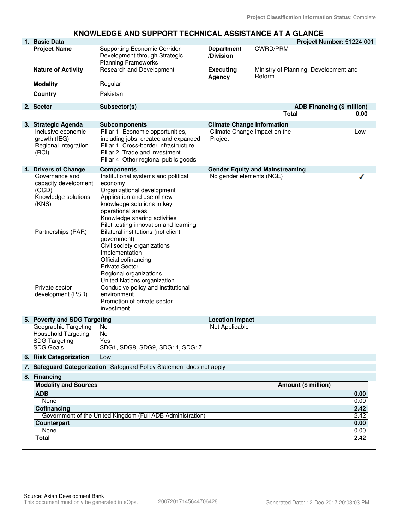#### **KNOWLEDGE AND SUPPORT TECHNICAL ASSISTANCE AT A GLANCE**

| 1. Basic Data                                                                                                                                |                                                                                                                                                                                                                                                                                                                                                                                                                                                                                                                                                          |                                |                                                 | Project Number: 51224-001 |
|----------------------------------------------------------------------------------------------------------------------------------------------|----------------------------------------------------------------------------------------------------------------------------------------------------------------------------------------------------------------------------------------------------------------------------------------------------------------------------------------------------------------------------------------------------------------------------------------------------------------------------------------------------------------------------------------------------------|--------------------------------|-------------------------------------------------|---------------------------|
| <b>Project Name</b>                                                                                                                          | <b>Supporting Economic Corridor</b><br>Development through Strategic<br><b>Planning Frameworks</b>                                                                                                                                                                                                                                                                                                                                                                                                                                                       | <b>Department</b><br>/Division | <b>CWRD/PRM</b>                                 |                           |
| <b>Nature of Activity</b>                                                                                                                    | Research and Development                                                                                                                                                                                                                                                                                                                                                                                                                                                                                                                                 | <b>Executing</b><br>Agency     | Ministry of Planning, Development and<br>Reform |                           |
| <b>Modality</b>                                                                                                                              | Regular                                                                                                                                                                                                                                                                                                                                                                                                                                                                                                                                                  |                                |                                                 |                           |
| Country                                                                                                                                      | Pakistan                                                                                                                                                                                                                                                                                                                                                                                                                                                                                                                                                 |                                |                                                 |                           |
| 2. Sector                                                                                                                                    | Subsector(s)                                                                                                                                                                                                                                                                                                                                                                                                                                                                                                                                             |                                | <b>ADB Financing (\$ million)</b>               |                           |
|                                                                                                                                              |                                                                                                                                                                                                                                                                                                                                                                                                                                                                                                                                                          |                                | <b>Total</b>                                    | 0.00                      |
| 3. Strategic Agenda                                                                                                                          | <b>Subcomponents</b>                                                                                                                                                                                                                                                                                                                                                                                                                                                                                                                                     |                                | <b>Climate Change Information</b>               |                           |
| Inclusive economic<br>growth (IEG)<br>Regional integration<br>(RCI)                                                                          | Pillar 1: Economic opportunities,<br>including jobs, created and expanded<br>Pillar 1: Cross-border infrastructure<br>Pillar 2: Trade and investment<br>Pillar 4: Other regional public goods                                                                                                                                                                                                                                                                                                                                                            | Project                        | Climate Change impact on the                    | Low                       |
| 4. Drivers of Change                                                                                                                         | <b>Components</b>                                                                                                                                                                                                                                                                                                                                                                                                                                                                                                                                        |                                | <b>Gender Equity and Mainstreaming</b>          |                           |
| Governance and<br>capacity development<br>(GCD)<br>Knowledge solutions<br>(KNS)<br>Partnerships (PAR)<br>Private sector<br>development (PSD) | Institutional systems and political<br>economy<br>Organizational development<br>Application and use of new<br>knowledge solutions in key<br>operational areas<br>Knowledge sharing activities<br>Pilot-testing innovation and learning<br>Bilateral institutions (not client<br>government)<br>Civil society organizations<br>Implementation<br>Official cofinancing<br><b>Private Sector</b><br>Regional organizations<br>United Nations organization<br>Conducive policy and institutional<br>environment<br>Promotion of private sector<br>investment |                                | No gender elements (NGE)                        |                           |
| 5. Poverty and SDG Targeting                                                                                                                 |                                                                                                                                                                                                                                                                                                                                                                                                                                                                                                                                                          | <b>Location Impact</b>         |                                                 |                           |
| Geographic Targeting<br>Household Targeting<br><b>SDG Targeting</b><br><b>SDG Goals</b>                                                      | No<br>No.<br>Yes<br>SDG1, SDG8, SDG9, SDG11, SDG17                                                                                                                                                                                                                                                                                                                                                                                                                                                                                                       | Not Applicable                 |                                                 |                           |
| 6. Risk Categorization                                                                                                                       | Low                                                                                                                                                                                                                                                                                                                                                                                                                                                                                                                                                      |                                |                                                 |                           |
|                                                                                                                                              | 7. Safeguard Categorization Safeguard Policy Statement does not apply                                                                                                                                                                                                                                                                                                                                                                                                                                                                                    |                                |                                                 |                           |
| 8. Financing                                                                                                                                 |                                                                                                                                                                                                                                                                                                                                                                                                                                                                                                                                                          |                                |                                                 |                           |
| <b>Modality and Sources</b>                                                                                                                  |                                                                                                                                                                                                                                                                                                                                                                                                                                                                                                                                                          |                                | Amount (\$ million)                             |                           |
| <b>ADB</b>                                                                                                                                   |                                                                                                                                                                                                                                                                                                                                                                                                                                                                                                                                                          |                                |                                                 | 0.00                      |
| None                                                                                                                                         |                                                                                                                                                                                                                                                                                                                                                                                                                                                                                                                                                          |                                |                                                 | 0.00                      |
| Cofinancing                                                                                                                                  |                                                                                                                                                                                                                                                                                                                                                                                                                                                                                                                                                          |                                |                                                 | 2.42                      |
|                                                                                                                                              | Government of the United Kingdom (Full ADB Administration)                                                                                                                                                                                                                                                                                                                                                                                                                                                                                               |                                |                                                 | 2.42<br>0.00              |
| Counterpart<br>None                                                                                                                          |                                                                                                                                                                                                                                                                                                                                                                                                                                                                                                                                                          |                                |                                                 | 0.00                      |
| <b>Total</b>                                                                                                                                 |                                                                                                                                                                                                                                                                                                                                                                                                                                                                                                                                                          |                                |                                                 | 2.42                      |
|                                                                                                                                              |                                                                                                                                                                                                                                                                                                                                                                                                                                                                                                                                                          |                                |                                                 |                           |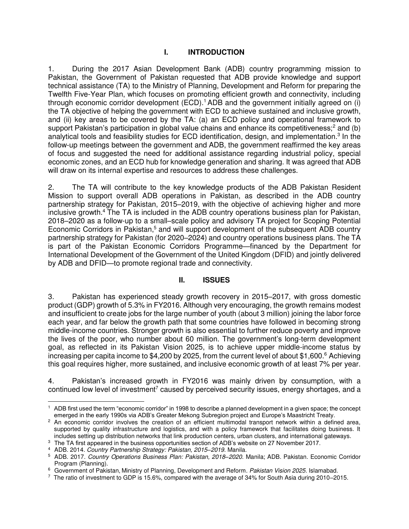## **I. INTRODUCTION**

1. During the 2017 Asian Development Bank (ADB) country programming mission to Pakistan, the Government of Pakistan requested that ADB provide knowledge and support technical assistance (TA) to the Ministry of Planning, Development and Reform for preparing the Twelfth Five-Year Plan, which focuses on promoting efficient growth and connectivity, including through economic corridor development  $(ECD)^1$  ADB and the government initially agreed on (i) the TA objective of helping the government with ECD to achieve sustained and inclusive growth, and (ii) key areas to be covered by the TA: (a) an ECD policy and operational framework to support Pakistan's participation in global value chains and enhance its competitiveness;<sup>2</sup> and (b) analytical tools and feasibility studies for ECD identification, design, and implementation.<sup>3</sup> In the follow-up meetings between the government and ADB, the government reaffirmed the key areas of focus and suggested the need for additional assistance regarding industrial policy, special economic zones, and an ECD hub for knowledge generation and sharing. It was agreed that ADB will draw on its internal expertise and resources to address these challenges.

2. The TA will contribute to the key knowledge products of the ADB Pakistan Resident Mission to support overall ADB operations in Pakistan, as described in the ADB country partnership strategy for Pakistan, 2015–2019, with the objective of achieving higher and more inclusive growth.<sup>4</sup> The TA is included in the ADB country operations business plan for Pakistan, 2018–2020 as a follow-up to a small–[scale policy and advisory TA project for Scoping Potential](https://www.adb.org/documents/series/country-operations-business-plans)  Economic Corridors in Pakistan,<sup>5</sup> and will support development of the subsequent ADB country partnership strategy for Pakistan (for 2020–[2024\) and country operations business plans.](https://www.adb.org/documents/series/country-operations-business-plans) The TA is part of the Pakistan Economic Corridors Programme—financed by the Department for International Development of the Government of the United Kingdom (DFID) and jointly delivered by ADB and DFID—to promote regional trade and connectivity.

#### **II. ISSUES**

3. Pakistan has experienced steady growth recovery in 2015–2017, with gross domestic product (GDP) growth of 5.3% in FY2016. Although very encouraging, the growth remains modest and insufficient to create jobs for the large number of youth (about 3 million) joining the labor force each year, and far below the growth path that some countries have followed in becoming strong middle-income countries. Stronger growth is also essential to further reduce poverty and improve the lives of the poor, who number about 60 million. The government's long-term development goal, as reflected in its Pakistan Vision 2025, is to achieve upper middle-income status by increasing per capita income to \$4,200 by 2025, from the current level of about \$1,600.<sup>6</sup> Achieving this goal requires higher, more sustained, and inclusive economic growth of at least 7% per year.

4. Pakistan's increased growth in FY2016 was mainly driven by consumption, with a continued low level of investment<sup>7</sup> caused by perceived security issues, energy shortages, and a

 <sup>1</sup> ADB first used the term "economic corridor" in 1998 to describe a planned development in a given space; the concept emerged in the early 1990s via ADB's Greater Mekong Subregion project and Europe's Maastricht Treaty.

<sup>&</sup>lt;sup>2</sup> An economic corridor involves the creation of an efficient multimodal transport network within a defined area, supported by quality infrastructure and logistics, and with a policy framework that facilitates doing business. It includes setting up distribution networks that link production centers, urban clusters, and international gateways.

<sup>&</sup>lt;sup>3</sup> The TA first appeared in the business opportunities section of ADB's website on 27 November 2017.

<sup>4</sup> ADB. 2014. *Country Partnership Strategy: Pakistan, 2015–2019*. Manila.

<sup>5</sup> ADB. 2017. *Country Operations Business Plan: Pakistan, 2018–2020*. Manila; ADB. Pakistan. Economic Corridor Program (Planning).

<sup>6</sup> Government of Pakistan, Ministry of Planning, Development and Reform*. Pakistan Vision 2025*. Islamabad.

<sup>7</sup> The ratio of investment to GDP is 15.6%, compared with the average of 34% for South Asia during 2010–2015.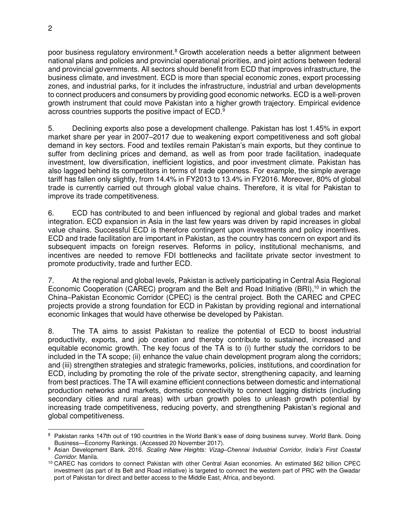poor business regulatory environment.<sup>8</sup> Growth acceleration needs a better alignment between national plans and policies and provincial operational priorities, and joint actions between federal and provincial governments. All sectors should benefit from ECD that improves infrastructure, the business climate, and investment. ECD is more than special economic zones, export processing zones, and industrial parks, for it includes the infrastructure, industrial and urban developments to connect producers and consumers by providing good economic networks. ECD is a well-proven growth instrument that could move Pakistan into a higher growth trajectory. Empirical evidence across countries supports the positive impact of ECD.<sup>9</sup>

5. Declining exports also pose a development challenge. Pakistan has lost 1.45% in export market share per year in 2007–2017 due to weakening export competitiveness and soft global demand in key sectors. Food and textiles remain Pakistan's main exports, but they continue to suffer from declining prices and demand, as well as from poor trade facilitation, inadequate investment, low diversification, inefficient logistics, and poor investment climate. Pakistan has also lagged behind its competitors in terms of trade openness. For example, the simple average tariff has fallen only slightly, from 14.4% in FY2013 to 13.4% in FY2016. Moreover, 80% of global trade is currently carried out through global value chains. Therefore, it is vital for Pakistan to improve its trade competitiveness.

6. ECD has contributed to and been influenced by regional and global trades and market integration. ECD expansion in Asia in the last few years was driven by rapid increases in global value chains. Successful ECD is therefore contingent upon investments and policy incentives. ECD and trade facilitation are important in Pakistan, as the country has concern on export and its subsequent impacts on foreign reserves. Reforms in policy, institutional mechanisms, and incentives are needed to remove FDI bottlenecks and facilitate private sector investment to promote productivity, trade and further ECD.

7. At the regional and global levels, Pakistan is actively participating in Central Asia Regional Economic Cooperation (CAREC) program and the Belt and Road Initiative (BRI),<sup>10</sup> in which the China–Pakistan Economic Corridor (CPEC) is the central project. Both the CAREC and CPEC projects provide a strong foundation for ECD in Pakistan by providing regional and international economic linkages that would have otherwise be developed by Pakistan.

8. The TA aims to assist Pakistan to realize the potential of ECD to boost industrial productivity, exports, and job creation and thereby contribute to sustained, increased and equitable economic growth. The key focus of the TA is to (i) further study the corridors to be included in the TA scope; (ii) enhance the value chain development program along the corridors; and (iii) strengthen strategies and strategic frameworks, policies, institutions, and coordination for ECD, including by promoting the role of the private sector, strengthening capacity, and learning from best practices. The TA will examine efficient connections between domestic and international production networks and markets, domestic connectivity to connect lagging districts (including secondary cities and rural areas) with urban growth poles to unleash growth potential by increasing trade competitiveness, reducing poverty, and strengthening Pakistan's regional and global competitiveness.

 $\overline{a}$ 8 Pakistan ranks 147th out of 190 countries in the World Bank's ease of doing business survey. World Bank. [Doing](http://www.doingbusiness.org/rankings)  Business—[Economy Rankings.](http://www.doingbusiness.org/rankings) (Accessed 20 November 2017).

<sup>9</sup> Asian Development Bank. 2016. *Scaling New Heights: Vizag–Chennai Industrial Corridor, India's First Coastal Corridor*. Manila.

<sup>10</sup> CAREC has corridors to connect Pakistan with other Central Asian economies. An estimated \$62 billion CPEC investment (as part of its Belt and Road initiative) is targeted to connect the western part of PRC with the Gwadar port of Pakistan for direct and better access to the Middle East, Africa, and beyond.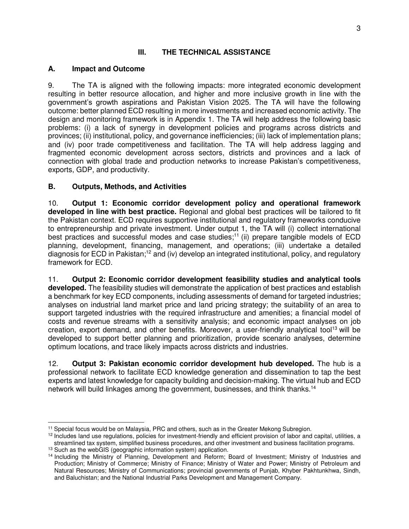## **III. THE TECHNICAL ASSISTANCE**

### **A. Impact and Outcome**

9. The TA is aligned with the following impacts: more integrated economic development resulting in better resource allocation, and higher and more inclusive growth in line with the government's growth aspirations and Pakistan Vision 2025. The TA will have the following outcome: better planned ECD resulting in more investments and increased economic activity. The design and monitoring framework is in Appendix 1. The TA will help address the following basic problems: (i) a lack of synergy in development policies and programs across districts and provinces; (ii) institutional, policy, and governance inefficiencies; (iii) lack of implementation plans; and (iv) poor trade competitiveness and facilitation. The TA will help address lagging and fragmented economic development across sectors, districts and provinces and a lack of connection with global trade and production networks to increase Pakistan's competitiveness, exports, GDP, and productivity.

## **B. Outputs, Methods, and Activities**

10. **Output 1: Economic corridor development policy and operational framework developed in line with best practice.** Regional and global best practices will be tailored to fit the Pakistan context. ECD requires supportive institutional and regulatory frameworks conducive to entrepreneurship and private investment. Under output 1, the TA will (i) collect international best practices and successful modes and case studies;<sup>11</sup> (ii) prepare tangible models of ECD planning, development, financing, management, and operations; (iii) undertake a detailed diagnosis for ECD in Pakistan;<sup>12</sup> and (iv) develop an integrated institutional, policy, and regulatory framework for ECD.

11. **Output 2: Economic corridor development feasibility studies and analytical tools developed.** The feasibility studies will demonstrate the application of best practices and establish a benchmark for key ECD components, including assessments of demand for targeted industries; analyses on industrial land market price and land pricing strategy; the suitability of an area to support targeted industries with the required infrastructure and amenities; a financial model of costs and revenue streams with a sensitivity analysis; and economic impact analyses on job creation, export demand, and other benefits. Moreover, a user-friendly analytical tool<sup>13</sup> will be developed to support better planning and prioritization, provide scenario analyses, determine optimum locations, and trace likely impacts across districts and industries.

12. **Output 3: Pakistan economic corridor development hub developed.** The hub is a professional network to facilitate ECD knowledge generation and dissemination to tap the best experts and latest knowledge for capacity building and decision-making. The virtual hub and ECD network will build linkages among the government, businesses, and think thanks.<sup>14</sup>

 <sup>11</sup> Special focus would be on Malaysia, PRC and others, such as in the Greater Mekong Subregion.

<sup>&</sup>lt;sup>12</sup> Includes land use regulations, policies for investment-friendly and efficient provision of labor and capital, utilities, a streamlined tax system, simplified business procedures, and other investment and business facilitation programs. <sup>13</sup> Such as the webGIS (geographic information system) application.

<sup>14</sup> Including the Ministry of Planning, Development and Reform; Board of Investment; Ministry of Industries and Production; Ministry of Commerce; Ministry of Finance; Ministry of Water and Power; Ministry of Petroleum and Natural Resources; Ministry of Communications; provincial governments of Punjab, Khyber Pakhtunkhwa, Sindh, and Baluchistan; and the National Industrial Parks Development and Management Company.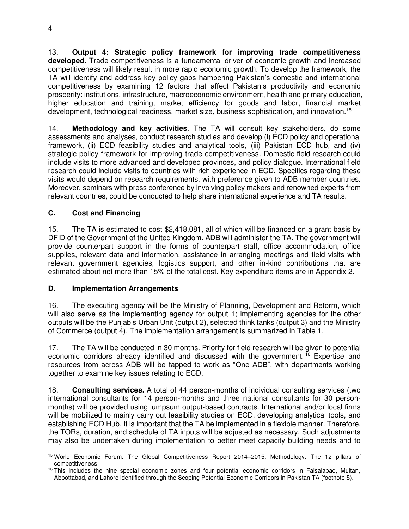13. **Output 4: Strategic policy framework for improving trade competitiveness developed.** Trade competitiveness is a fundamental driver of economic growth and increased competitiveness will likely result in more rapid economic growth. To develop the framework, the TA will identify and address key policy gaps hampering Pakistan's domestic and international competitiveness by examining 12 factors that affect Pakistan's productivity and economic prosperity: institutions, infrastructure, macroeconomic environment, health and primary education, higher education and training, market efficiency for goods and labor, financial market development, technological readiness, market size, business sophistication, and innovation.<sup>15</sup>

14. **Methodology and key activities**. The TA will consult key stakeholders, do some assessments and analyses, conduct research studies and develop (i) ECD policy and operational framework, (ii) ECD feasibility studies and analytical tools, (iii) Pakistan ECD hub, and (iv) strategic policy framework for improving trade competitiveness. Domestic field research could include visits to more advanced and developed provinces, and policy dialogue. International field research could include visits to countries with rich experience in ECD. Specifics regarding these visits would depend on research requirements, with preference given to ADB member countries. Moreover, seminars with press conference by involving policy makers and renowned experts from relevant countries, could be conducted to help share international experience and TA results.

## **C. Cost and Financing**

15. The TA is estimated to cost \$2,418,081, all of which will be financed on a grant basis by DFID of the Government of the United Kingdom. ADB will administer the TA. The government will provide counterpart support in the forms of counterpart staff, office accommodation, office supplies, relevant data and information, assistance in arranging meetings and field visits with relevant government agencies, logistics support, and other in-kind contributions that are estimated about not more than 15% of the total cost. Key expenditure items are in Appendix 2.

## **D. Implementation Arrangements**

16. The executing agency will be the Ministry of Planning, Development and Reform, which will also serve as the implementing agency for output 1; implementing agencies for the other outputs will be the Punjab's Urban Unit (output 2), selected think tanks (output 3) and the Ministry of Commerce (output 4). The implementation arrangement is summarized in Table 1.

17. The TA will be conducted in 30 months. Priority for field research will be given to potential economic corridors already identified and discussed with the government.<sup>16</sup> Expertise and resources from across ADB will be tapped to work as "One ADB", with departments working together to examine key issues relating to ECD.

18. **Consulting services.** A total of 44 person-months of individual consulting services (two international consultants for 14 person-months and three national consultants for 30 personmonths) will be provided using lumpsum output-based contracts. International and/or local firms will be mobilized to mainly carry out feasibility studies on ECD, developing analytical tools, and establishing ECD Hub. It is important that the TA be implemented in a flexible manner. Therefore, the TORs, duration, and schedule of TA inputs will be adjusted as necessary. Such adjustments may also be undertaken during implementation to better meet capacity building needs and to

 $\overline{a}$ <sup>15</sup> World Economic Forum. The Global Competitiveness Report 2014–2015. Methodology: The 12 pillars of [competitiveness.](http://reports.weforum.org/global-competitiveness-report-2014-2015/methodology/)

<sup>&</sup>lt;sup>16</sup> This includes the nine special economic zones and four potential economic corridors in Faisalabad, Multan, Abbottabad, and Lahore identified through the Scoping Potential Economic Corridors in Pakistan TA (footnote 5).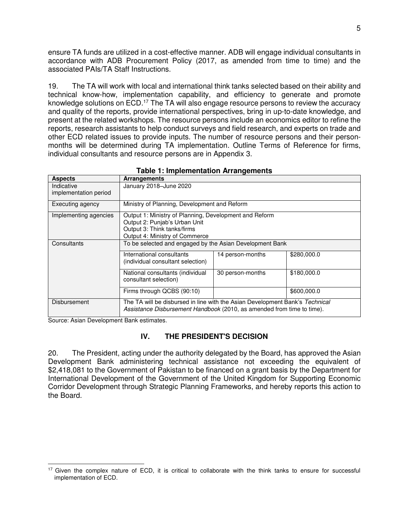ensure TA funds are utilized in a cost-effective manner. ADB will engage individual consultants in accordance with ADB Procurement Policy (2017, as amended from time to time) and the associated PAIs/TA Staff Instructions.

19. The TA will work with local and international think tanks selected based on their ability and technical know-how, implementation capability, and efficiency to generate and promote knowledge solutions on ECD.<sup>17</sup> The TA will also engage resource persons to review the accuracy and quality of the reports, provide international perspectives, bring in up-to-date knowledge, and present at the related workshops. The resource persons include an economics editor to refine the reports, research assistants to help conduct surveys and field research, and experts on trade and other ECD related issues to provide inputs. The number of resource persons and their personmonths will be determined during TA implementation. Outline Terms of Reference for firms, individual consultants and resource persons are in Appendix 3.

| <b>Aspects</b>                      | <b>Arrangements</b>                                                                                                                                      |                  |             |
|-------------------------------------|----------------------------------------------------------------------------------------------------------------------------------------------------------|------------------|-------------|
| Indicative<br>implementation period | January 2018-June 2020                                                                                                                                   |                  |             |
| Executing agency                    | Ministry of Planning, Development and Reform                                                                                                             |                  |             |
| Implementing agencies               | Output 1: Ministry of Planning, Development and Reform<br>Output 2: Punjab's Urban Unit<br>Output 3: Think tanks/firms<br>Output 4: Ministry of Commerce |                  |             |
| Consultants                         | To be selected and engaged by the Asian Development Bank                                                                                                 |                  |             |
|                                     | International consultants<br>(individual consultant selection)                                                                                           | 14 person-months | \$280,000.0 |
|                                     | National consultants (individual<br>consultant selection)                                                                                                | 30 person-months | \$180,000.0 |
|                                     | Firms through QCBS (90:10)                                                                                                                               |                  | \$600,000.0 |
| Disbursement                        | The TA will be disbursed in line with the Asian Development Bank's Technical<br>Assistance Disbursement Handbook (2010, as amended from time to time).   |                  |             |

Source: Asian Development Bank estimates.

#### **IV. THE PRESIDENT'S DECISION**

20. The President, acting under the authority delegated by the Board, has approved the Asian Development Bank administering technical assistance not exceeding the equivalent of \$2,418,081 to the Government of Pakistan to be financed on a grant basis by the Department for International Development of the Government of the United Kingdom for Supporting Economic Corridor Development through Strategic Planning Frameworks, and hereby reports this action to the Board.

 $\overline{a}$ <sup>17</sup> Given the complex nature of ECD, it is critical to collaborate with the think tanks to ensure for successful implementation of ECD.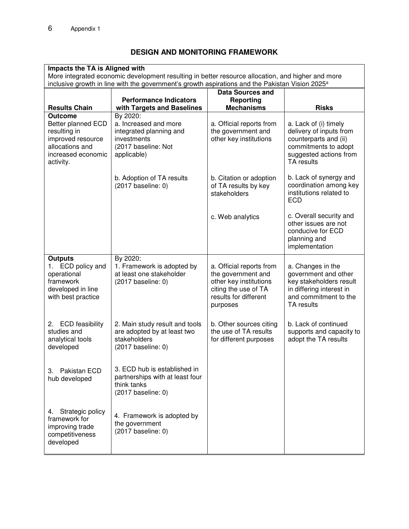## **DESIGN AND MONITORING FRAMEWORK**

| Impacts the TA is Aligned with<br>More integrated economic development resulting in better resource allocation, and higher and more<br>inclusive growth in line with the government's growth aspirations and the Pakistan Vision 2025 <sup>a</sup> |                                                                                                                   |                                                                                                                                       |                                                                                                                                           |  |
|----------------------------------------------------------------------------------------------------------------------------------------------------------------------------------------------------------------------------------------------------|-------------------------------------------------------------------------------------------------------------------|---------------------------------------------------------------------------------------------------------------------------------------|-------------------------------------------------------------------------------------------------------------------------------------------|--|
|                                                                                                                                                                                                                                                    | <b>Data Sources and</b><br><b>Performance Indicators</b><br><b>Reporting</b>                                      |                                                                                                                                       |                                                                                                                                           |  |
| <b>Results Chain</b>                                                                                                                                                                                                                               | with Targets and Baselines                                                                                        | <b>Mechanisms</b>                                                                                                                     | <b>Risks</b>                                                                                                                              |  |
| <b>Outcome</b><br>Better planned ECD<br>resulting in<br>improved resource<br>allocations and<br>increased economic<br>activity.                                                                                                                    | By 2020:<br>a. Increased and more<br>integrated planning and<br>investments<br>(2017 baseline: Not<br>applicable) | a. Official reports from<br>the government and<br>other key institutions                                                              | a. Lack of (i) timely<br>delivery of inputs from<br>counterparts and (ii)<br>commitments to adopt<br>suggested actions from<br>TA results |  |
|                                                                                                                                                                                                                                                    | b. Adoption of TA results<br>(2017 baseline: 0)                                                                   | b. Citation or adoption<br>of TA results by key<br>stakeholders                                                                       | b. Lack of synergy and<br>coordination among key<br>institutions related to<br><b>ECD</b>                                                 |  |
|                                                                                                                                                                                                                                                    |                                                                                                                   | c. Web analytics                                                                                                                      | c. Overall security and<br>other issues are not<br>conducive for ECD<br>planning and<br>implementation                                    |  |
| <b>Outputs</b><br>1. ECD policy and<br>operational<br>framework<br>developed in line<br>with best practice                                                                                                                                         | By 2020:<br>1. Framework is adopted by<br>at least one stakeholder<br>$(2017)$ baseline: 0)                       | a. Official reports from<br>the government and<br>other key institutions<br>citing the use of TA<br>results for different<br>purposes | a. Changes in the<br>government and other<br>key stakeholders result<br>in differing interest in<br>and commitment to the<br>TA results   |  |
| <b>ECD</b> feasibility<br>2.<br>studies and<br>analytical tools<br>developed                                                                                                                                                                       | 2. Main study result and tools<br>are adopted by at least two<br>stakeholders<br>(2017 baseline: 0)               | b. Other sources citing<br>the use of TA results<br>for different purposes                                                            | b. Lack of continued<br>supports and capacity to<br>adopt the TA results                                                                  |  |
| Pakistan ECD<br>3.<br>hub developed                                                                                                                                                                                                                | 3. ECD hub is established in<br>partnerships with at least four<br>think tanks<br>(2017 baseline: 0)              |                                                                                                                                       |                                                                                                                                           |  |
| Strategic policy<br>4.<br>framework for<br>improving trade<br>competitiveness<br>developed                                                                                                                                                         | 4. Framework is adopted by<br>the government<br>(2017 baseline: 0)                                                |                                                                                                                                       |                                                                                                                                           |  |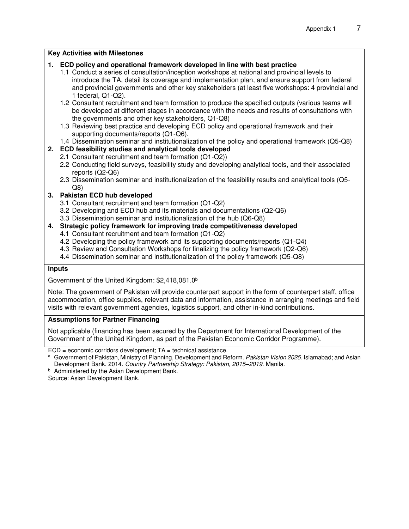#### **Key Activities with Milestones**

#### **1. ECD policy and operational framework developed in line with best practice**

1.1 Conduct a series of consultation/inception workshops at national and provincial levels to introduce the TA, detail its coverage and implementation plan, and ensure support from federal and provincial governments and other key stakeholders (at least five workshops: 4 provincial and 1 federal, Q1-Q2).

1.2 Consultant recruitment and team formation to produce the specified outputs (various teams will be developed at different stages in accordance with the needs and results of consultations with the governments and other key stakeholders, Q1-Q8)

- 1.3 Reviewing best practice and developing ECD policy and operational framework and their supporting documents/reports (Q1-Q6).
- 1.4 Dissemination seminar and institutionalization of the policy and operational framework (Q5-Q8)

#### **2. ECD feasibility studies and analytical tools developed**

- 2.1 Consultant recruitment and team formation (Q1-Q2))
- 2.2 Conducting field surveys, feasibility study and developing analytical tools, and their associated reports (Q2-Q6)
- 2.3 Dissemination seminar and institutionalization of the feasibility results and analytical tools (Q5- Q8)

#### **3. Pakistan ECD hub developed**

- 3.1 Consultant recruitment and team formation (Q1-Q2)
- 3.2 Developing and ECD hub and its materials and documentations (Q2-Q6)
- 3.3 Dissemination seminar and institutionalization of the hub (Q6-Q8)

#### **4. Strategic policy framework for improving trade competitiveness developed**

- 4.1 Consultant recruitment and team formation (Q1-Q2)
- 4.2 Developing the policy framework and its supporting documents/reports (Q1-Q4)
- 4.3 Review and Consultation Workshops for finalizing the policy framework (Q2-Q6)
- 4.4 Dissemination seminar and institutionalization of the policy framework (Q5-Q8)

#### **Inputs**

Government of the United Kingdom: \$2,418,081.0<sup>b</sup>

Note: The government of Pakistan will provide counterpart support in the form of counterpart staff, office accommodation, office supplies, relevant data and information, assistance in arranging meetings and field visits with relevant government agencies, logistics support, and other in-kind contributions.

#### **Assumptions for Partner Financing**

Not applicable (financing has been secured by the Department for International Development of the Government of the United Kingdom, as part of the Pakistan Economic Corridor Programme).

 $ECD =$  economic corridors development;  $TA =$  technical assistance.

**b** Administered by the Asian Development Bank.

Source: Asian Development Bank.

a Government of Pakistan, Ministry of Planning, Development and Reform. Pakistan Vision 2025. Islamabad; and Asian Development Bank. 2014. *Country Partnership Strategy: Pakistan, 2015–2019*. Manila.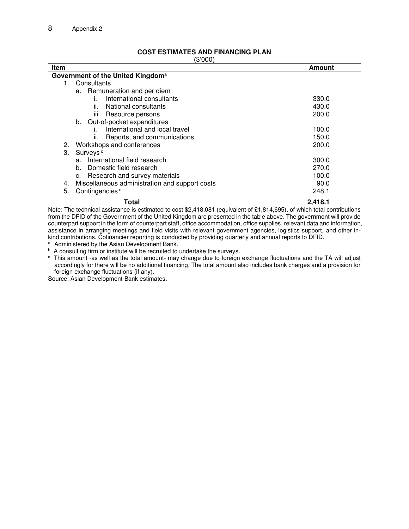| <b>Item</b>                                          | Amount  |  |  |  |
|------------------------------------------------------|---------|--|--|--|
| Government of the United Kingdom <sup>a</sup>        |         |  |  |  |
| Consultants<br>1.                                    |         |  |  |  |
| a. Remuneration and per diem                         |         |  |  |  |
| International consultants                            | 330.0   |  |  |  |
| ii.<br>National consultants                          | 430.0   |  |  |  |
| iii. Resource persons                                | 200.0   |  |  |  |
| Out-of-pocket expenditures<br>b.                     |         |  |  |  |
| International and local travel                       | 100.0   |  |  |  |
| Reports, and communications<br>ΙΙ.                   | 150.0   |  |  |  |
| Workshops and conferences<br>2.                      | 200.0   |  |  |  |
| З.<br>Surveys <sup>c</sup>                           |         |  |  |  |
| International field research<br>a.                   | 300.0   |  |  |  |
| Domestic field research<br>b.                        | 270.0   |  |  |  |
| Research and survey materials                        | 100.0   |  |  |  |
| Miscellaneous administration and support costs<br>4. | 90.0    |  |  |  |
| Contingencies <sup>d</sup><br>5.                     | 248.1   |  |  |  |
| Total                                                | 2,418.1 |  |  |  |

**COST ESTIMATES AND FINANCING PLAN**  (\$'000)

Note: The technical assistance is estimated to cost \$2,418,081 (equivalent of £1,814,695), of which total contributions from the DFID of the Government of the United Kingdom are presented in the table above. The government will provide counterpart support in the form of counterpart staff, office accommodation, office supplies, relevant data and information, assistance in arranging meetings and field visits with relevant government agencies, logistics support, and other inkind contributions. Cofinancier reporting is conducted by providing quarterly and annual reports to DFID.

<sup>a</sup> Administered by the Asian Development Bank.

<sup>b</sup> A consulting firm or institute will be recruited to undertake the surveys.

c This amount -as well as the total amount- may change due to foreign exchange fluctuations and the TA will adjust accordingly for there will be no additional financing. The total amount also includes bank charges and a provision for foreign exchange fluctuations (if any).

Source: Asian Development Bank estimates.